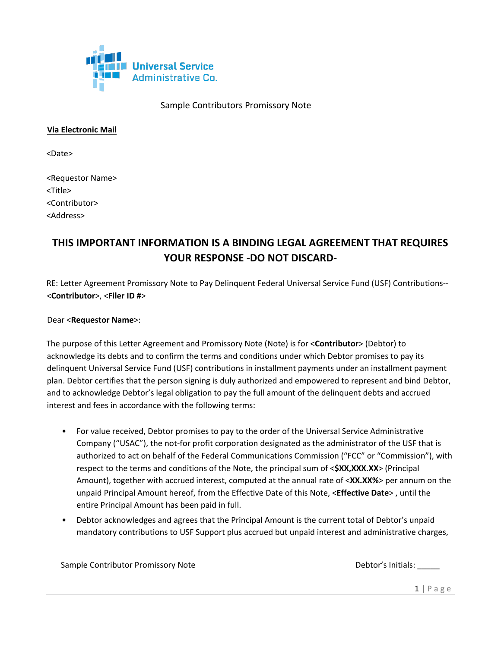

## **Via Electronic Mail**

<Date>

<Requestor Name> <Title> <Contributor> <Address>

# **THIS IMPORTANT INFORMATION IS A BINDING LEGAL AGREEMENT THAT REQUIRES YOUR RESPONSE -DO NOT DISCARD-**

RE: Letter Agreement Promissory Note to Pay Delinquent Federal Universal Service Fund (USF) Contributions-- <**Contributor**>, <**Filer ID #**>

#### Dear <**Requestor Name**>:

The purpose of this Letter Agreement and Promissory Note (Note) is for <**Contributor**> (Debtor) to acknowledge its debts and to confirm the terms and conditions under which Debtor promises to pay its delinquent Universal Service Fund (USF) contributions in installment payments under an installment payment plan. Debtor certifies that the person signing is duly authorized and empowered to represent and bind Debtor, and to acknowledge Debtor's legal obligation to pay the full amount of the delinquent debts and accrued interest and fees in accordance with the following terms:

- For value received, Debtor promises to pay to the order of the Universal Service Administrative Company ("USAC"), the not-for profit corporation designated as the administrator of the USF that is authorized to act on behalf of the Federal Communications Commission ("FCC" or "Commission"), with respect to the terms and conditions of the Note, the principal sum of <**\$XX,XXX.XX**> (Principal Amount), together with accrued interest, computed at the annual rate of <**XX.XX%**> per annum on the unpaid Principal Amount hereof, from the Effective Date of this Note, <**Effective Date**> , until the entire Principal Amount has been paid in full.
- Debtor acknowledges and agrees that the Principal Amount is the current total of Debtor's unpaid mandatory contributions to USF Support plus accrued but unpaid interest and administrative charges,

Sample Contributor Promissory Note example of the Debtor's Initials: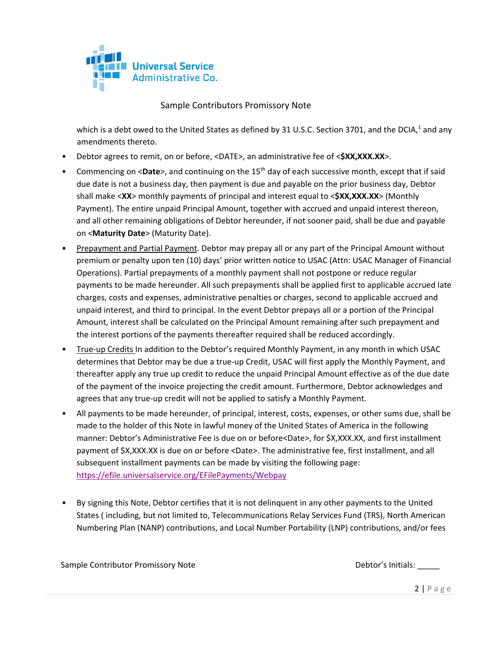

which is a debt owed to the United States as defined by 31 U.S.C. Section 3701, and the DCIA,<sup>1</sup> and any amendments thereto.

- Debtor agrees to remit, on or before, <DATE>, an administrative fee of <**\$XX,XXX.XX**>.
- Commencing on <Date>, and continuing on the 15<sup>th</sup> day of each successive month, except that if said due date is not a business day, then payment is due and payable on the prior business day, Debtor shall make <**XX**> monthly payments of principal and interest equal to <**\$XX,XXX.XX**> (Monthly Payment). The entire unpaid Principal Amount, together with accrued and unpaid interest thereon, and all other remaining obligations of Debtor hereunder, if not sooner paid, shall be due and payable on <**Maturity Date**> (Maturity Date).
- Prepayment and Partial Payment. Debtor may prepay all or any part of the Principal Amount without premium or penalty upon ten (10) days' prior written notice to USAC (Attn: USAC Manager of Financial Operations). Partial prepayments of a monthly payment shall not postpone or reduce regular payments to be made hereunder. All such prepayments shall be applied first to applicable accrued late charges, costs and expenses, administrative penalties or charges, second to applicable accrued and unpaid interest, and third to principal. In the event Debtor prepays all or a portion of the Principal Amount, interest shall be calculated on the Principal Amount remaining after such prepayment and the interest portions of the payments thereafter required shall be reduced accordingly.
- True-up Credits In addition to the Debtor's required Monthly Payment, in any month in which USAC determines that Debtor may be due a true-up Credit, USAC will first apply the Monthly Payment, and thereafter apply any true up credit to reduce the unpaid Principal Amount effective as of the due date of the payment of the invoice projecting the credit amount. Furthermore, Debtor acknowledges and agrees that any true-up credit will not be applied to satisfy a Monthly Payment.
- All payments to be made hereunder, of principal, interest, costs, expenses, or other sums due, shall be made to the holder of this Note in lawful money of the United States of America in the following manner: Debtor's Administrative Fee is due on or before<Date>, for \$X,XXX.XX, and first installment payment of \$X,XXX.XX is due on or before <Date>. The administrative fee, first installment, and all subsequent installment payments can be made by visiting the following page: <https://efile.universalservice.org/EFilePayments/Webpay>
- By signing this Note, Debtor certifies that it is not delinquent in any other payments to the United States ( including, but not limited to, Telecommunications Relay Services Fund (TRS), North American Numbering Plan (NANP) contributions, and Local Number Portability (LNP) contributions, and/or fees

Sample Contributor Promissory Note example of the Debtor's Initials: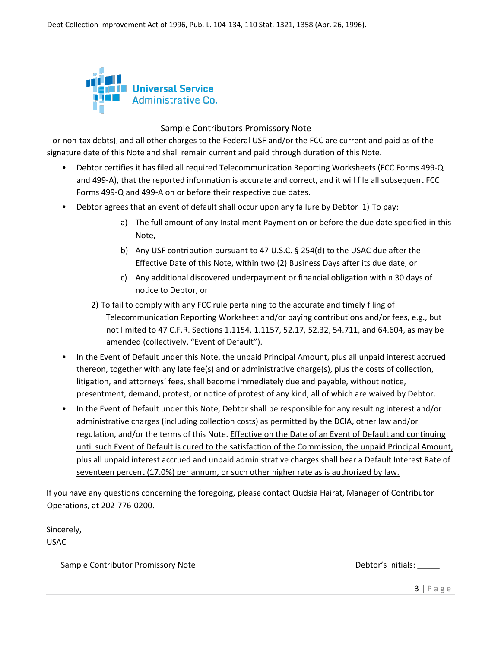

or non-tax debts), and all other charges to the Federal USF and/or the FCC are current and paid as of the signature date of this Note and shall remain current and paid through duration of this Note.

- Debtor certifies it has filed all required Telecommunication Reporting Worksheets (FCC Forms 499-Q and 499-A), that the reported information is accurate and correct, and it will file all subsequent FCC Forms 499-Q and 499-A on or before their respective due dates.
- Debtor agrees that an event of default shall occur upon any failure by Debtor 1) To pay:
	- a) The full amount of any Installment Payment on or before the due date specified in this Note,
	- b) Any USF contribution pursuant to 47 U.S.C. § 254(d) to the USAC due after the Effective Date of this Note, within two (2) Business Days after its due date, or
	- c) Any additional discovered underpayment or financial obligation within 30 days of notice to Debtor, or
	- 2) To fail to comply with any FCC rule pertaining to the accurate and timely filing of Telecommunication Reporting Worksheet and/or paying contributions and/or fees, e.g., but not limited to 47 C.F.R. Sections 1.1154, 1.1157, 52.17, 52.32, 54.711, and 64.604, as may be amended (collectively, "Event of Default").
- In the Event of Default under this Note, the unpaid Principal Amount, plus all unpaid interest accrued thereon, together with any late fee(s) and or administrative charge(s), plus the costs of collection, litigation, and attorneys' fees, shall become immediately due and payable, without notice, presentment, demand, protest, or notice of protest of any kind, all of which are waived by Debtor.
- In the Event of Default under this Note, Debtor shall be responsible for any resulting interest and/or administrative charges (including collection costs) as permitted by the DCIA, other law and/or regulation, and/or the terms of this Note. Effective on the Date of an Event of Default and continuing until such Event of Default is cured to the satisfaction of the Commission, the unpaid Principal Amount, plus all unpaid interest accrued and unpaid administrative charges shall bear a Default Interest Rate of seventeen percent (17.0%) per annum, or such other higher rate as is authorized by law.

If you have any questions concerning the foregoing, please contact Qudsia Hairat, Manager of Contributor Operations, at 202-776-0200.

Sincerely, USAC

Sample Contributor Promissory Note  $\Box$  Debtor's Initials:

3 | P a g e